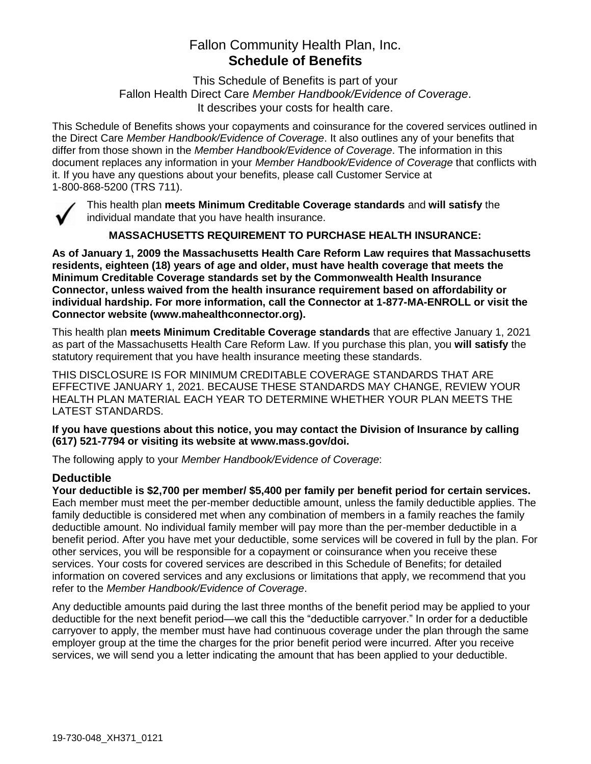# Fallon Community Health Plan, Inc. **Schedule of Benefits**

This Schedule of Benefits is part of your Fallon Health Direct Care *Member Handbook/Evidence of Coverage*. It describes your costs for health care.

This Schedule of Benefits shows your copayments and coinsurance for the covered services outlined in the Direct Care *Member Handbook/Evidence of Coverage*. It also outlines any of your benefits that differ from those shown in the *Member Handbook/Evidence of Coverage*. The information in this document replaces any information in your *Member Handbook/Evidence of Coverage* that conflicts with it. If you have any questions about your benefits, please call Customer Service at 1-800-868-5200 (TRS 711).



This health plan **meets Minimum Creditable Coverage standards** and **will satisfy** the individual mandate that you have health insurance.

**MASSACHUSETTS REQUIREMENT TO PURCHASE HEALTH INSURANCE:**

**As of January 1, 2009 the Massachusetts Health Care Reform Law requires that Massachusetts residents, eighteen (18) years of age and older, must have health coverage that meets the Minimum Creditable Coverage standards set by the Commonwealth Health Insurance Connector, unless waived from the health insurance requirement based on affordability or individual hardship. For more information, call the Connector at 1-877-MA-ENROLL or visit the Connector website (www.mahealthconnector.org).**

This health plan **meets Minimum Creditable Coverage standards** that are effective January 1, 2021 as part of the Massachusetts Health Care Reform Law. If you purchase this plan, you **will satisfy** the statutory requirement that you have health insurance meeting these standards.

THIS DISCLOSURE IS FOR MINIMUM CREDITABLE COVERAGE STANDARDS THAT ARE EFFECTIVE JANUARY 1, 2021. BECAUSE THESE STANDARDS MAY CHANGE, REVIEW YOUR HEALTH PLAN MATERIAL EACH YEAR TO DETERMINE WHETHER YOUR PLAN MEETS THE LATEST STANDARDS.

**If you have questions about this notice, you may contact the Division of Insurance by calling (617) 521-7794 or visiting its website at www.mass.gov/doi.** 

The following apply to your *Member Handbook/Evidence of Coverage*:

# **Deductible**

**Your deductible is \$2,700 per member/ \$5,400 per family per benefit period for certain services.** Each member must meet the per-member deductible amount, unless the family deductible applies. The family deductible is considered met when any combination of members in a family reaches the family deductible amount. No individual family member will pay more than the per-member deductible in a benefit period. After you have met your deductible, some services will be covered in full by the plan. For other services, you will be responsible for a copayment or coinsurance when you receive these services. Your costs for covered services are described in this Schedule of Benefits; for detailed information on covered services and any exclusions or limitations that apply, we recommend that you refer to the *Member Handbook/Evidence of Coverage*.

Any deductible amounts paid during the last three months of the benefit period may be applied to your deductible for the next benefit period—we call this the "deductible carryover." In order for a deductible carryover to apply, the member must have had continuous coverage under the plan through the same employer group at the time the charges for the prior benefit period were incurred. After you receive services, we will send you a letter indicating the amount that has been applied to your deductible.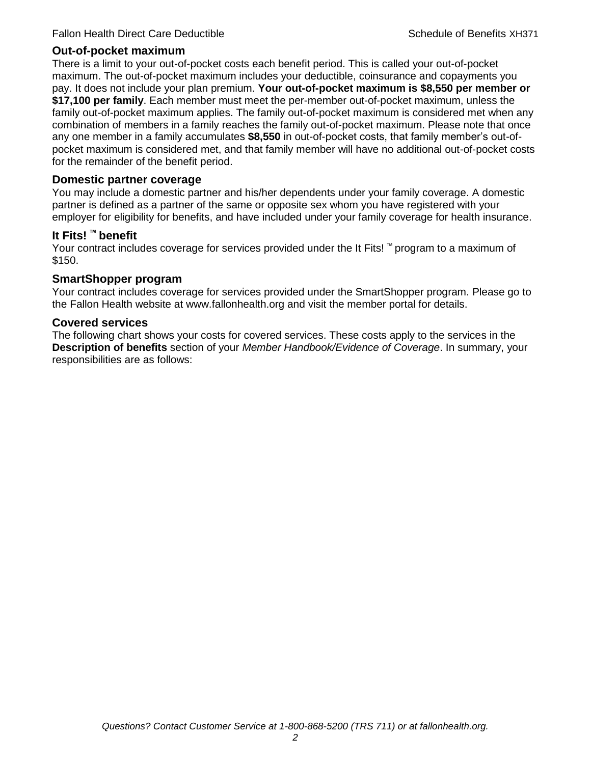# **Out-of-pocket maximum**

There is a limit to your out-of-pocket costs each benefit period. This is called your out-of-pocket maximum. The out-of-pocket maximum includes your deductible, coinsurance and copayments you pay. It does not include your plan premium. **Your out-of-pocket maximum is \$8,550 per member or \$17,100 per family**. Each member must meet the per-member out-of-pocket maximum, unless the family out-of-pocket maximum applies. The family out-of-pocket maximum is considered met when any combination of members in a family reaches the family out-of-pocket maximum. Please note that once any one member in a family accumulates **\$8,550** in out-of-pocket costs, that family member's out-ofpocket maximum is considered met, and that family member will have no additional out-of-pocket costs for the remainder of the benefit period.

## **Domestic partner coverage**

You may include a domestic partner and his/her dependents under your family coverage. A domestic partner is defined as a partner of the same or opposite sex whom you have registered with your employer for eligibility for benefits, and have included under your family coverage for health insurance.

## **It Fits! ™ benefit**

Your contract includes coverage for services provided under the It Fits! ™ program to a maximum of \$150.

## **SmartShopper program**

Your contract includes coverage for services provided under the SmartShopper program. Please go to the Fallon Health website at www.fallonhealth.org and visit the member portal for details.

#### **Covered services**

The following chart shows your costs for covered services. These costs apply to the services in the **Description of benefits** section of your *Member Handbook/Evidence of Coverage*. In summary, your responsibilities are as follows: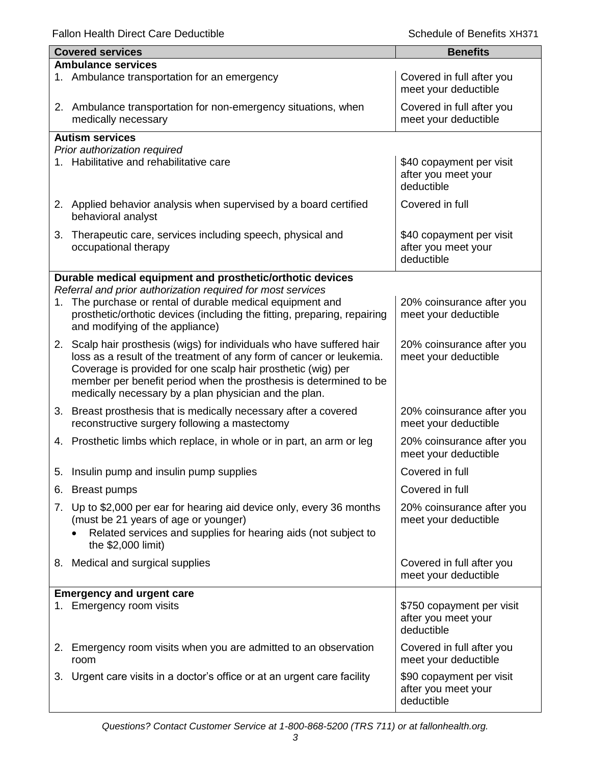Fallon Health Direct Care Deductible **Schedule of Benefits XH371** Schedule of Benefits XH371

|    | <b>Covered services</b>                                                                                                                                                                                                                                            | <b>Benefits</b>                                                |
|----|--------------------------------------------------------------------------------------------------------------------------------------------------------------------------------------------------------------------------------------------------------------------|----------------------------------------------------------------|
|    | <b>Ambulance services</b>                                                                                                                                                                                                                                          |                                                                |
|    | 1. Ambulance transportation for an emergency                                                                                                                                                                                                                       | Covered in full after you<br>meet your deductible              |
|    | 2. Ambulance transportation for non-emergency situations, when<br>medically necessary                                                                                                                                                                              | Covered in full after you<br>meet your deductible              |
|    | <b>Autism services</b>                                                                                                                                                                                                                                             |                                                                |
|    | Prior authorization required                                                                                                                                                                                                                                       |                                                                |
|    | 1. Habilitative and rehabilitative care                                                                                                                                                                                                                            | \$40 copayment per visit<br>after you meet your<br>deductible  |
|    | 2. Applied behavior analysis when supervised by a board certified<br>behavioral analyst                                                                                                                                                                            | Covered in full                                                |
| 3. | Therapeutic care, services including speech, physical and<br>occupational therapy                                                                                                                                                                                  | \$40 copayment per visit<br>after you meet your<br>deductible  |
|    | Durable medical equipment and prosthetic/orthotic devices                                                                                                                                                                                                          |                                                                |
|    | Referral and prior authorization required for most services                                                                                                                                                                                                        |                                                                |
| 1. | The purchase or rental of durable medical equipment and<br>prosthetic/orthotic devices (including the fitting, preparing, repairing<br>and modifying of the appliance)                                                                                             | 20% coinsurance after you<br>meet your deductible              |
|    | 2. Scalp hair prosthesis (wigs) for individuals who have suffered hair                                                                                                                                                                                             | 20% coinsurance after you                                      |
|    | loss as a result of the treatment of any form of cancer or leukemia.<br>Coverage is provided for one scalp hair prosthetic (wig) per<br>member per benefit period when the prosthesis is determined to be<br>medically necessary by a plan physician and the plan. | meet your deductible                                           |
|    | 3. Breast prosthesis that is medically necessary after a covered<br>reconstructive surgery following a mastectomy                                                                                                                                                  | 20% coinsurance after you<br>meet your deductible              |
|    | 4. Prosthetic limbs which replace, in whole or in part, an arm or leg                                                                                                                                                                                              | 20% coinsurance after you<br>meet your deductible              |
|    | 5. Insulin pump and insulin pump supplies                                                                                                                                                                                                                          | Covered in full                                                |
| 6. | <b>Breast pumps</b>                                                                                                                                                                                                                                                | Covered in full                                                |
| 7. | Up to \$2,000 per ear for hearing aid device only, every 36 months<br>(must be 21 years of age or younger)<br>Related services and supplies for hearing aids (not subject to<br>the \$2,000 limit)                                                                 | 20% coinsurance after you<br>meet your deductible              |
|    | 8. Medical and surgical supplies                                                                                                                                                                                                                                   | Covered in full after you<br>meet your deductible              |
|    | <b>Emergency and urgent care</b>                                                                                                                                                                                                                                   |                                                                |
|    | 1. Emergency room visits                                                                                                                                                                                                                                           | \$750 copayment per visit<br>after you meet your<br>deductible |
| 2. | Emergency room visits when you are admitted to an observation<br>room                                                                                                                                                                                              | Covered in full after you<br>meet your deductible              |
| 3. | Urgent care visits in a doctor's office or at an urgent care facility                                                                                                                                                                                              | \$90 copayment per visit<br>after you meet your<br>deductible  |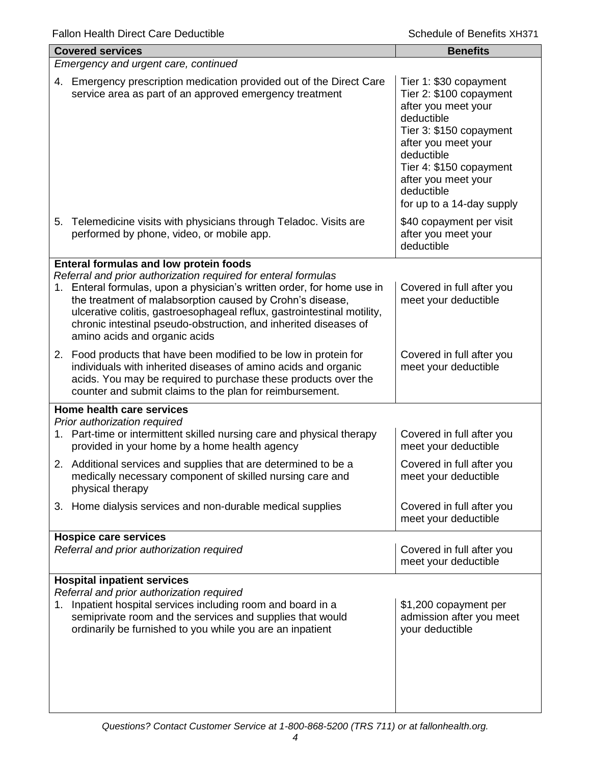|    | <b>Covered services</b>                                                                                                                                                                                                                                                                                          | <b>Benefits</b>                                                                                                                                                                                                                                     |
|----|------------------------------------------------------------------------------------------------------------------------------------------------------------------------------------------------------------------------------------------------------------------------------------------------------------------|-----------------------------------------------------------------------------------------------------------------------------------------------------------------------------------------------------------------------------------------------------|
|    | Emergency and urgent care, continued                                                                                                                                                                                                                                                                             |                                                                                                                                                                                                                                                     |
| 4. | Emergency prescription medication provided out of the Direct Care<br>service area as part of an approved emergency treatment                                                                                                                                                                                     | Tier 1: \$30 copayment<br>Tier 2: \$100 copayment<br>after you meet your<br>deductible<br>Tier 3: \$150 copayment<br>after you meet your<br>deductible<br>Tier 4: \$150 copayment<br>after you meet your<br>deductible<br>for up to a 14-day supply |
| 5. | Telemedicine visits with physicians through Teladoc. Visits are<br>performed by phone, video, or mobile app.                                                                                                                                                                                                     | \$40 copayment per visit<br>after you meet your<br>deductible                                                                                                                                                                                       |
|    | Enteral formulas and low protein foods<br>Referral and prior authorization required for enteral formulas                                                                                                                                                                                                         |                                                                                                                                                                                                                                                     |
| 1. | Enteral formulas, upon a physician's written order, for home use in<br>the treatment of malabsorption caused by Crohn's disease,<br>ulcerative colitis, gastroesophageal reflux, gastrointestinal motility,<br>chronic intestinal pseudo-obstruction, and inherited diseases of<br>amino acids and organic acids | Covered in full after you<br>meet your deductible                                                                                                                                                                                                   |
|    | 2. Food products that have been modified to be low in protein for<br>individuals with inherited diseases of amino acids and organic<br>acids. You may be required to purchase these products over the<br>counter and submit claims to the plan for reimbursement.                                                | Covered in full after you<br>meet your deductible                                                                                                                                                                                                   |
|    | Home health care services                                                                                                                                                                                                                                                                                        |                                                                                                                                                                                                                                                     |
|    | Prior authorization required<br>1. Part-time or intermittent skilled nursing care and physical therapy<br>provided in your home by a home health agency                                                                                                                                                          | Covered in full after you<br>meet your deductible                                                                                                                                                                                                   |
|    | 2. Additional services and supplies that are determined to be a<br>medically necessary component of skilled nursing care and<br>physical therapy                                                                                                                                                                 | Covered in full after you<br>meet your deductible                                                                                                                                                                                                   |
|    | 3. Home dialysis services and non-durable medical supplies                                                                                                                                                                                                                                                       | Covered in full after you<br>meet your deductible                                                                                                                                                                                                   |
|    | <b>Hospice care services</b>                                                                                                                                                                                                                                                                                     |                                                                                                                                                                                                                                                     |
|    | Referral and prior authorization required                                                                                                                                                                                                                                                                        | Covered in full after you<br>meet your deductible                                                                                                                                                                                                   |
|    | <b>Hospital inpatient services</b><br>Referral and prior authorization required                                                                                                                                                                                                                                  |                                                                                                                                                                                                                                                     |
| 1. | Inpatient hospital services including room and board in a<br>semiprivate room and the services and supplies that would<br>ordinarily be furnished to you while you are an inpatient                                                                                                                              | \$1,200 copayment per<br>admission after you meet<br>your deductible                                                                                                                                                                                |
|    |                                                                                                                                                                                                                                                                                                                  |                                                                                                                                                                                                                                                     |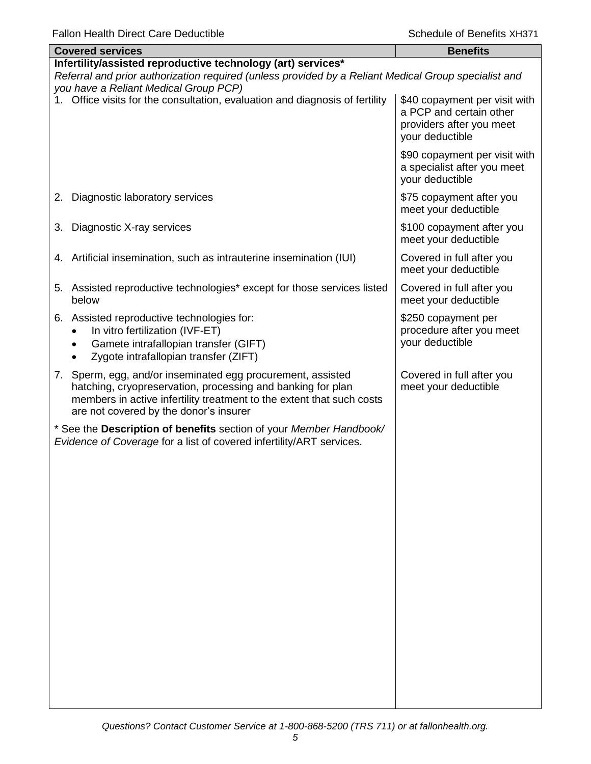| anon noann <i>D</i> irool O                                                                                                                                                                                                                      | ouuro or portonto                                                                                       |  |  |
|--------------------------------------------------------------------------------------------------------------------------------------------------------------------------------------------------------------------------------------------------|---------------------------------------------------------------------------------------------------------|--|--|
| <b>Covered services</b>                                                                                                                                                                                                                          | <b>Benefits</b>                                                                                         |  |  |
| Infertility/assisted reproductive technology (art) services*<br>Referral and prior authorization required (unless provided by a Reliant Medical Group specialist and<br>you have a Reliant Medical Group PCP)                                    |                                                                                                         |  |  |
| 1. Office visits for the consultation, evaluation and diagnosis of fertility                                                                                                                                                                     | \$40 copayment per visit with<br>a PCP and certain other<br>providers after you meet<br>your deductible |  |  |
|                                                                                                                                                                                                                                                  | \$90 copayment per visit with<br>a specialist after you meet<br>your deductible                         |  |  |
| Diagnostic laboratory services<br>2.                                                                                                                                                                                                             | \$75 copayment after you<br>meet your deductible                                                        |  |  |
| Diagnostic X-ray services<br>3.                                                                                                                                                                                                                  | \$100 copayment after you<br>meet your deductible                                                       |  |  |
| 4. Artificial insemination, such as intrauterine insemination (IUI)                                                                                                                                                                              | Covered in full after you<br>meet your deductible                                                       |  |  |
| 5. Assisted reproductive technologies* except for those services listed<br>below                                                                                                                                                                 | Covered in full after you<br>meet your deductible                                                       |  |  |
| 6. Assisted reproductive technologies for:<br>In vitro fertilization (IVF-ET)<br>Gamete intrafallopian transfer (GIFT)<br>$\bullet$<br>Zygote intrafallopian transfer (ZIFT)                                                                     | \$250 copayment per<br>procedure after you meet<br>your deductible                                      |  |  |
| Sperm, egg, and/or inseminated egg procurement, assisted<br>7.<br>hatching, cryopreservation, processing and banking for plan<br>members in active infertility treatment to the extent that such costs<br>are not covered by the donor's insurer | Covered in full after you<br>meet your deductible                                                       |  |  |
| * See the Description of benefits section of your Member Handbook/<br>Evidence of Coverage for a list of covered infertility/ART services.                                                                                                       |                                                                                                         |  |  |
|                                                                                                                                                                                                                                                  |                                                                                                         |  |  |
|                                                                                                                                                                                                                                                  |                                                                                                         |  |  |
|                                                                                                                                                                                                                                                  |                                                                                                         |  |  |
|                                                                                                                                                                                                                                                  |                                                                                                         |  |  |
|                                                                                                                                                                                                                                                  |                                                                                                         |  |  |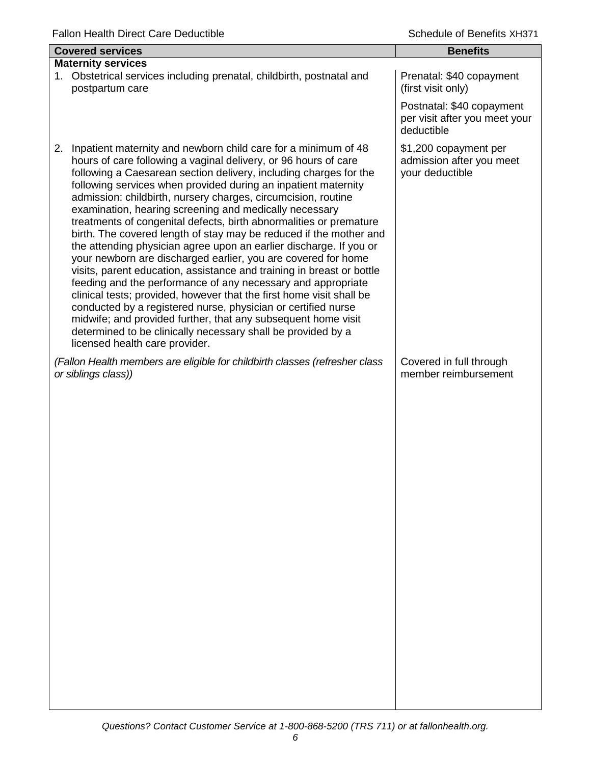| <b>Covered services</b>                                                                                                                                                                                                                                                                                                                                                                                                                                                                                                                                                                                                                                                                                                                                                                                                                                                                                                                                                                                                                                                                                                                           | <b>Benefits</b>                                                                                                            |
|---------------------------------------------------------------------------------------------------------------------------------------------------------------------------------------------------------------------------------------------------------------------------------------------------------------------------------------------------------------------------------------------------------------------------------------------------------------------------------------------------------------------------------------------------------------------------------------------------------------------------------------------------------------------------------------------------------------------------------------------------------------------------------------------------------------------------------------------------------------------------------------------------------------------------------------------------------------------------------------------------------------------------------------------------------------------------------------------------------------------------------------------------|----------------------------------------------------------------------------------------------------------------------------|
| <b>Maternity services</b><br>Obstetrical services including prenatal, childbirth, postnatal and<br>1.<br>postpartum care                                                                                                                                                                                                                                                                                                                                                                                                                                                                                                                                                                                                                                                                                                                                                                                                                                                                                                                                                                                                                          | Prenatal: \$40 copayment<br>(first visit only)<br>Postnatal: \$40 copayment<br>per visit after you meet your<br>deductible |
| Inpatient maternity and newborn child care for a minimum of 48<br>2.<br>hours of care following a vaginal delivery, or 96 hours of care<br>following a Caesarean section delivery, including charges for the<br>following services when provided during an inpatient maternity<br>admission: childbirth, nursery charges, circumcision, routine<br>examination, hearing screening and medically necessary<br>treatments of congenital defects, birth abnormalities or premature<br>birth. The covered length of stay may be reduced if the mother and<br>the attending physician agree upon an earlier discharge. If you or<br>your newborn are discharged earlier, you are covered for home<br>visits, parent education, assistance and training in breast or bottle<br>feeding and the performance of any necessary and appropriate<br>clinical tests; provided, however that the first home visit shall be<br>conducted by a registered nurse, physician or certified nurse<br>midwife; and provided further, that any subsequent home visit<br>determined to be clinically necessary shall be provided by a<br>licensed health care provider. | \$1,200 copayment per<br>admission after you meet<br>your deductible                                                       |
| (Fallon Health members are eligible for childbirth classes (refresher class<br>or siblings class))                                                                                                                                                                                                                                                                                                                                                                                                                                                                                                                                                                                                                                                                                                                                                                                                                                                                                                                                                                                                                                                | Covered in full through<br>member reimbursement                                                                            |
|                                                                                                                                                                                                                                                                                                                                                                                                                                                                                                                                                                                                                                                                                                                                                                                                                                                                                                                                                                                                                                                                                                                                                   |                                                                                                                            |
|                                                                                                                                                                                                                                                                                                                                                                                                                                                                                                                                                                                                                                                                                                                                                                                                                                                                                                                                                                                                                                                                                                                                                   |                                                                                                                            |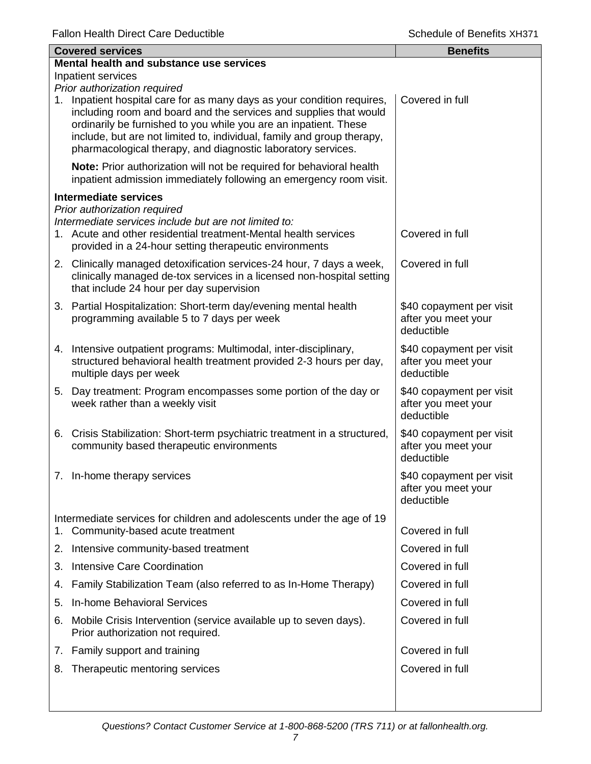| <b>Covered services</b>                  |                                                                                                                                                                                                                                                                                                                                                            | <b>Benefits</b>                                               |  |
|------------------------------------------|------------------------------------------------------------------------------------------------------------------------------------------------------------------------------------------------------------------------------------------------------------------------------------------------------------------------------------------------------------|---------------------------------------------------------------|--|
| Mental health and substance use services |                                                                                                                                                                                                                                                                                                                                                            |                                                               |  |
|                                          | Inpatient services<br>Prior authorization required                                                                                                                                                                                                                                                                                                         |                                                               |  |
|                                          | 1. Inpatient hospital care for as many days as your condition requires,<br>including room and board and the services and supplies that would<br>ordinarily be furnished to you while you are an inpatient. These<br>include, but are not limited to, individual, family and group therapy,<br>pharmacological therapy, and diagnostic laboratory services. | Covered in full                                               |  |
|                                          | Note: Prior authorization will not be required for behavioral health<br>inpatient admission immediately following an emergency room visit.                                                                                                                                                                                                                 |                                                               |  |
|                                          | Intermediate services                                                                                                                                                                                                                                                                                                                                      |                                                               |  |
|                                          | Prior authorization required<br>Intermediate services include but are not limited to:<br>1. Acute and other residential treatment-Mental health services<br>provided in a 24-hour setting therapeutic environments                                                                                                                                         | Covered in full                                               |  |
|                                          | 2. Clinically managed detoxification services-24 hour, 7 days a week,<br>clinically managed de-tox services in a licensed non-hospital setting<br>that include 24 hour per day supervision                                                                                                                                                                 | Covered in full                                               |  |
|                                          | 3. Partial Hospitalization: Short-term day/evening mental health<br>programming available 5 to 7 days per week                                                                                                                                                                                                                                             | \$40 copayment per visit<br>after you meet your<br>deductible |  |
|                                          | 4. Intensive outpatient programs: Multimodal, inter-disciplinary,<br>structured behavioral health treatment provided 2-3 hours per day,<br>multiple days per week                                                                                                                                                                                          | \$40 copayment per visit<br>after you meet your<br>deductible |  |
|                                          | 5. Day treatment: Program encompasses some portion of the day or<br>week rather than a weekly visit                                                                                                                                                                                                                                                        | \$40 copayment per visit<br>after you meet your<br>deductible |  |
|                                          | 6. Crisis Stabilization: Short-term psychiatric treatment in a structured,<br>community based therapeutic environments                                                                                                                                                                                                                                     | \$40 copayment per visit<br>after you meet your<br>deductible |  |
|                                          | 7. In-home therapy services                                                                                                                                                                                                                                                                                                                                | \$40 copayment per visit<br>after you meet your<br>deductible |  |
| 1.                                       | Intermediate services for children and adolescents under the age of 19<br>Community-based acute treatment                                                                                                                                                                                                                                                  | Covered in full                                               |  |
|                                          | 2. Intensive community-based treatment                                                                                                                                                                                                                                                                                                                     | Covered in full                                               |  |
|                                          | 3. Intensive Care Coordination                                                                                                                                                                                                                                                                                                                             | Covered in full                                               |  |
|                                          | 4. Family Stabilization Team (also referred to as In-Home Therapy)                                                                                                                                                                                                                                                                                         | Covered in full                                               |  |
|                                          | 5. In-home Behavioral Services                                                                                                                                                                                                                                                                                                                             | Covered in full                                               |  |
| 6.                                       | Mobile Crisis Intervention (service available up to seven days).<br>Prior authorization not required.                                                                                                                                                                                                                                                      | Covered in full                                               |  |
|                                          | 7. Family support and training                                                                                                                                                                                                                                                                                                                             | Covered in full                                               |  |
|                                          | 8. Therapeutic mentoring services                                                                                                                                                                                                                                                                                                                          | Covered in full                                               |  |
|                                          |                                                                                                                                                                                                                                                                                                                                                            |                                                               |  |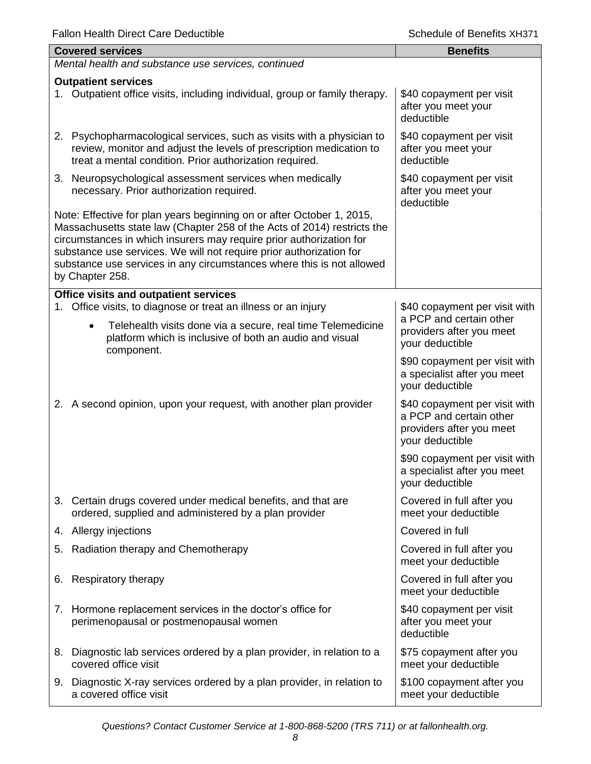| <b>Covered services</b>                                                                                                                                                                                                                                                                                                                                                                    | <b>Benefits</b>                                                                                         |
|--------------------------------------------------------------------------------------------------------------------------------------------------------------------------------------------------------------------------------------------------------------------------------------------------------------------------------------------------------------------------------------------|---------------------------------------------------------------------------------------------------------|
| Mental health and substance use services, continued                                                                                                                                                                                                                                                                                                                                        |                                                                                                         |
| <b>Outpatient services</b><br>1. Outpatient office visits, including individual, group or family therapy.                                                                                                                                                                                                                                                                                  | \$40 copayment per visit<br>after you meet your<br>deductible                                           |
| 2. Psychopharmacological services, such as visits with a physician to<br>review, monitor and adjust the levels of prescription medication to<br>treat a mental condition. Prior authorization required.                                                                                                                                                                                    | \$40 copayment per visit<br>after you meet your<br>deductible                                           |
| 3. Neuropsychological assessment services when medically<br>necessary. Prior authorization required.                                                                                                                                                                                                                                                                                       | \$40 copayment per visit<br>after you meet your<br>deductible                                           |
| Note: Effective for plan years beginning on or after October 1, 2015,<br>Massachusetts state law (Chapter 258 of the Acts of 2014) restricts the<br>circumstances in which insurers may require prior authorization for<br>substance use services. We will not require prior authorization for<br>substance use services in any circumstances where this is not allowed<br>by Chapter 258. |                                                                                                         |
| <b>Office visits and outpatient services</b><br>Office visits, to diagnose or treat an illness or an injury<br>1.                                                                                                                                                                                                                                                                          | \$40 copayment per visit with                                                                           |
| Telehealth visits done via a secure, real time Telemedicine<br>$\bullet$<br>platform which is inclusive of both an audio and visual<br>component.                                                                                                                                                                                                                                          | a PCP and certain other<br>providers after you meet<br>your deductible                                  |
|                                                                                                                                                                                                                                                                                                                                                                                            | \$90 copayment per visit with<br>a specialist after you meet<br>your deductible                         |
| 2. A second opinion, upon your request, with another plan provider                                                                                                                                                                                                                                                                                                                         | \$40 copayment per visit with<br>a PCP and certain other<br>providers after you meet<br>your deductible |
|                                                                                                                                                                                                                                                                                                                                                                                            | \$90 copayment per visit with<br>a specialist after you meet<br>your deductible                         |
| 3. Certain drugs covered under medical benefits, and that are<br>ordered, supplied and administered by a plan provider                                                                                                                                                                                                                                                                     | Covered in full after you<br>meet your deductible                                                       |
| 4. Allergy injections                                                                                                                                                                                                                                                                                                                                                                      | Covered in full                                                                                         |
| 5. Radiation therapy and Chemotherapy                                                                                                                                                                                                                                                                                                                                                      | Covered in full after you<br>meet your deductible                                                       |
| <b>Respiratory therapy</b><br>6.                                                                                                                                                                                                                                                                                                                                                           | Covered in full after you<br>meet your deductible                                                       |
| 7. Hormone replacement services in the doctor's office for<br>perimenopausal or postmenopausal women                                                                                                                                                                                                                                                                                       | \$40 copayment per visit<br>after you meet your<br>deductible                                           |
| Diagnostic lab services ordered by a plan provider, in relation to a<br>8.<br>covered office visit                                                                                                                                                                                                                                                                                         | \$75 copayment after you<br>meet your deductible                                                        |
| 9. Diagnostic X-ray services ordered by a plan provider, in relation to<br>a covered office visit                                                                                                                                                                                                                                                                                          | \$100 copayment after you<br>meet your deductible                                                       |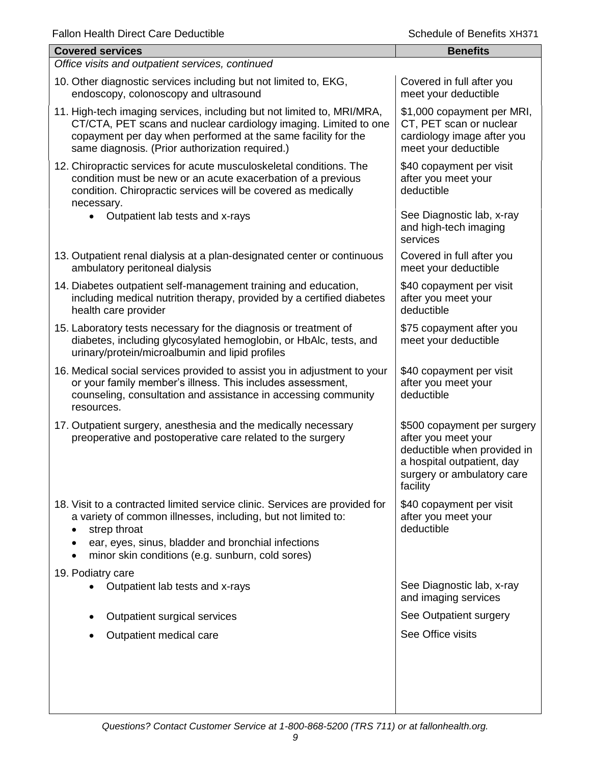| <b>Covered services</b>                                                                                                                                                                                                                                                | <b>Benefits</b>                                                                                                                                           |  |  |
|------------------------------------------------------------------------------------------------------------------------------------------------------------------------------------------------------------------------------------------------------------------------|-----------------------------------------------------------------------------------------------------------------------------------------------------------|--|--|
| Office visits and outpatient services, continued                                                                                                                                                                                                                       |                                                                                                                                                           |  |  |
| 10. Other diagnostic services including but not limited to, EKG,<br>endoscopy, colonoscopy and ultrasound                                                                                                                                                              | Covered in full after you<br>meet your deductible                                                                                                         |  |  |
| 11. High-tech imaging services, including but not limited to, MRI/MRA,<br>CT/CTA, PET scans and nuclear cardiology imaging. Limited to one<br>copayment per day when performed at the same facility for the<br>same diagnosis. (Prior authorization required.)         | \$1,000 copayment per MRI,<br>CT, PET scan or nuclear<br>cardiology image after you<br>meet your deductible                                               |  |  |
| 12. Chiropractic services for acute musculoskeletal conditions. The<br>condition must be new or an acute exacerbation of a previous<br>condition. Chiropractic services will be covered as medically<br>necessary.                                                     | \$40 copayment per visit<br>after you meet your<br>deductible                                                                                             |  |  |
| Outpatient lab tests and x-rays                                                                                                                                                                                                                                        | See Diagnostic lab, x-ray<br>and high-tech imaging<br>services                                                                                            |  |  |
| 13. Outpatient renal dialysis at a plan-designated center or continuous<br>ambulatory peritoneal dialysis                                                                                                                                                              | Covered in full after you<br>meet your deductible                                                                                                         |  |  |
| 14. Diabetes outpatient self-management training and education,<br>including medical nutrition therapy, provided by a certified diabetes<br>health care provider                                                                                                       | \$40 copayment per visit<br>after you meet your<br>deductible                                                                                             |  |  |
| 15. Laboratory tests necessary for the diagnosis or treatment of<br>diabetes, including glycosylated hemoglobin, or HbAlc, tests, and<br>urinary/protein/microalbumin and lipid profiles                                                                               | \$75 copayment after you<br>meet your deductible                                                                                                          |  |  |
| 16. Medical social services provided to assist you in adjustment to your<br>or your family member's illness. This includes assessment,<br>counseling, consultation and assistance in accessing community<br>resources.                                                 | \$40 copayment per visit<br>after you meet your<br>deductible                                                                                             |  |  |
| 17. Outpatient surgery, anesthesia and the medically necessary<br>preoperative and postoperative care related to the surgery                                                                                                                                           | \$500 copayment per surgery<br>after you meet your<br>deductible when provided in<br>a hospital outpatient, day<br>surgery or ambulatory care<br>facility |  |  |
| 18. Visit to a contracted limited service clinic. Services are provided for<br>a variety of common illnesses, including, but not limited to:<br>strep throat<br>ear, eyes, sinus, bladder and bronchial infections<br>minor skin conditions (e.g. sunburn, cold sores) | \$40 copayment per visit<br>after you meet your<br>deductible                                                                                             |  |  |
| 19. Podiatry care                                                                                                                                                                                                                                                      |                                                                                                                                                           |  |  |
| Outpatient lab tests and x-rays                                                                                                                                                                                                                                        | See Diagnostic lab, x-ray<br>and imaging services                                                                                                         |  |  |
| Outpatient surgical services                                                                                                                                                                                                                                           | See Outpatient surgery                                                                                                                                    |  |  |
| Outpatient medical care                                                                                                                                                                                                                                                | See Office visits                                                                                                                                         |  |  |
|                                                                                                                                                                                                                                                                        |                                                                                                                                                           |  |  |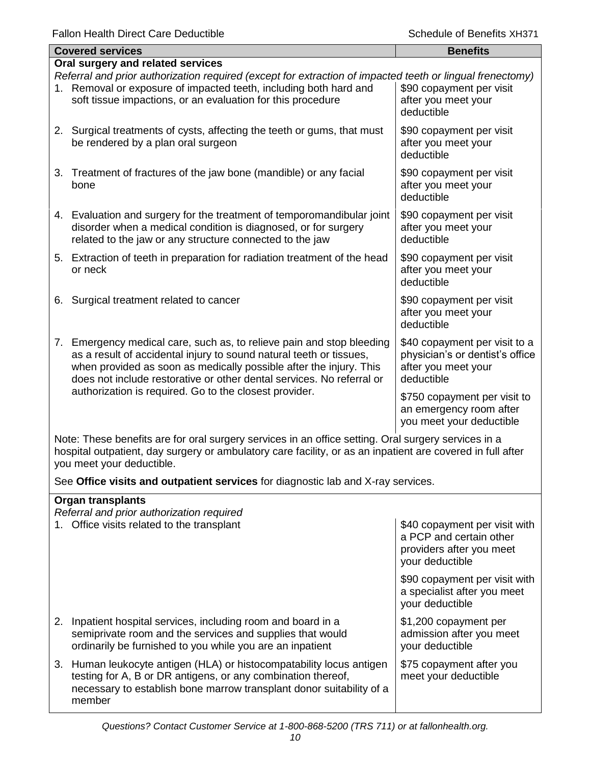| <b>Covered services</b>                                                                                                                                                                                                                                                                        | <b>Benefits</b>                                                                                       |  |  |
|------------------------------------------------------------------------------------------------------------------------------------------------------------------------------------------------------------------------------------------------------------------------------------------------|-------------------------------------------------------------------------------------------------------|--|--|
| Oral surgery and related services                                                                                                                                                                                                                                                              |                                                                                                       |  |  |
| Referral and prior authorization required (except for extraction of impacted teeth or lingual frenectomy)<br>1. Removal or exposure of impacted teeth, including both hard and<br>soft tissue impactions, or an evaluation for this procedure                                                  | \$90 copayment per visit<br>after you meet your<br>deductible                                         |  |  |
| 2. Surgical treatments of cysts, affecting the teeth or gums, that must<br>be rendered by a plan oral surgeon                                                                                                                                                                                  | \$90 copayment per visit<br>after you meet your<br>deductible                                         |  |  |
| 3. Treatment of fractures of the jaw bone (mandible) or any facial<br>bone                                                                                                                                                                                                                     | \$90 copayment per visit<br>after you meet your<br>deductible                                         |  |  |
| 4. Evaluation and surgery for the treatment of temporomandibular joint<br>disorder when a medical condition is diagnosed, or for surgery<br>related to the jaw or any structure connected to the jaw                                                                                           | \$90 copayment per visit<br>after you meet your<br>deductible                                         |  |  |
| 5. Extraction of teeth in preparation for radiation treatment of the head<br>or neck                                                                                                                                                                                                           | \$90 copayment per visit<br>after you meet your<br>deductible                                         |  |  |
| Surgical treatment related to cancer<br>6.                                                                                                                                                                                                                                                     | \$90 copayment per visit<br>after you meet your<br>deductible                                         |  |  |
| Emergency medical care, such as, to relieve pain and stop bleeding<br>7.<br>as a result of accidental injury to sound natural teeth or tissues,<br>when provided as soon as medically possible after the injury. This<br>does not include restorative or other dental services. No referral or | \$40 copayment per visit to a<br>physician's or dentist's office<br>after you meet your<br>deductible |  |  |
| authorization is required. Go to the closest provider.                                                                                                                                                                                                                                         | \$750 copayment per visit to<br>an emergency room after<br>you meet your deductible                   |  |  |
|                                                                                                                                                                                                                                                                                                | Note: These benefits are fer arel ourgens consiges in an office setting. Oral ourgens consiges in a   |  |  |

Note: These benefits are for oral surgery services in an office setting. Oral surgery services in a hospital outpatient, day surgery or ambulatory care facility, or as an inpatient are covered in full after you meet your deductible.

See **Office visits and outpatient services** for diagnostic lab and X-ray services.

| <b>Organ transplants</b><br>Referral and prior authorization required |                                                                                                                                                                                                                        |                                                                                                         |  |
|-----------------------------------------------------------------------|------------------------------------------------------------------------------------------------------------------------------------------------------------------------------------------------------------------------|---------------------------------------------------------------------------------------------------------|--|
|                                                                       | 1. Office visits related to the transplant                                                                                                                                                                             | \$40 copayment per visit with<br>a PCP and certain other<br>providers after you meet<br>your deductible |  |
|                                                                       |                                                                                                                                                                                                                        | \$90 copayment per visit with<br>a specialist after you meet<br>your deductible                         |  |
|                                                                       | 2. Inpatient hospital services, including room and board in a<br>semiprivate room and the services and supplies that would<br>ordinarily be furnished to you while you are an inpatient                                | \$1,200 copayment per<br>admission after you meet<br>your deductible                                    |  |
|                                                                       | 3. Human leukocyte antigen (HLA) or histocompatability locus antigen<br>testing for A, B or DR antigens, or any combination thereof,<br>necessary to establish bone marrow transplant donor suitability of a<br>member | \$75 copayment after you<br>meet your deductible                                                        |  |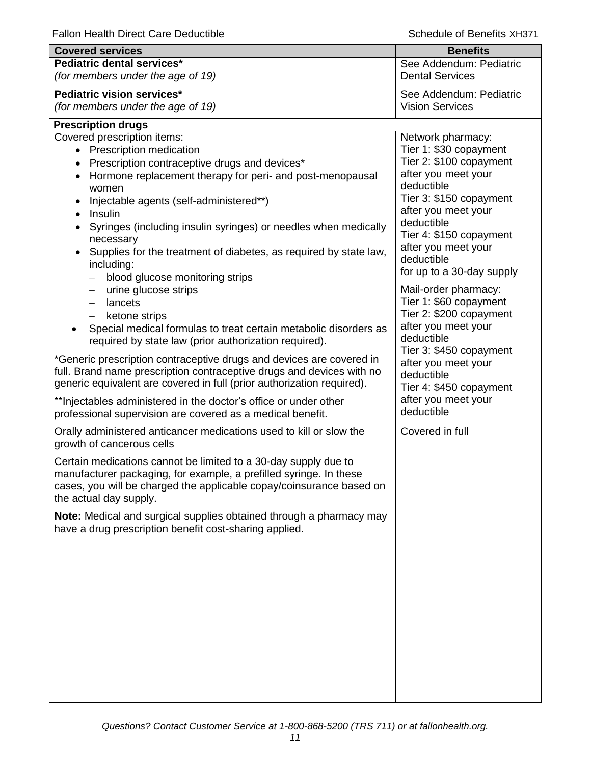| <b>Covered services</b>                                                                                                                       | <b>Benefits</b>                                   |
|-----------------------------------------------------------------------------------------------------------------------------------------------|---------------------------------------------------|
| Pediatric dental services*                                                                                                                    | See Addendum: Pediatric                           |
| (for members under the age of 19)                                                                                                             | <b>Dental Services</b>                            |
| Pediatric vision services*                                                                                                                    | See Addendum: Pediatric                           |
| (for members under the age of 19)                                                                                                             | <b>Vision Services</b>                            |
| <b>Prescription drugs</b>                                                                                                                     |                                                   |
| Covered prescription items:                                                                                                                   | Network pharmacy:                                 |
| <b>Prescription medication</b>                                                                                                                | Tier 1: \$30 copayment<br>Tier 2: \$100 copayment |
| Prescription contraceptive drugs and devices*<br>$\bullet$                                                                                    | after you meet your                               |
| Hormone replacement therapy for peri- and post-menopausal<br>$\bullet$<br>women                                                               | deductible                                        |
| Injectable agents (self-administered**)<br>$\bullet$                                                                                          | Tier 3: \$150 copayment                           |
| Insulin<br>$\bullet$                                                                                                                          | after you meet your                               |
| Syringes (including insulin syringes) or needles when medically                                                                               | deductible                                        |
| necessary                                                                                                                                     | Tier 4: \$150 copayment                           |
| Supplies for the treatment of diabetes, as required by state law,                                                                             | after you meet your                               |
| including:                                                                                                                                    | deductible                                        |
| blood glucose monitoring strips                                                                                                               | for up to a 30-day supply                         |
| urine glucose strips<br>$\qquad \qquad -$                                                                                                     | Mail-order pharmacy:                              |
| lancets<br>$\overline{\phantom{0}}$                                                                                                           | Tier 1: \$60 copayment                            |
| ketone strips                                                                                                                                 | Tier 2: \$200 copayment<br>after you meet your    |
| Special medical formulas to treat certain metabolic disorders as<br>required by state law (prior authorization required).                     | deductible                                        |
|                                                                                                                                               | Tier 3: \$450 copayment                           |
| *Generic prescription contraceptive drugs and devices are covered in<br>full. Brand name prescription contraceptive drugs and devices with no | after you meet your                               |
| generic equivalent are covered in full (prior authorization required).                                                                        | deductible                                        |
|                                                                                                                                               | Tier 4: \$450 copayment<br>after you meet your    |
| ** Injectables administered in the doctor's office or under other<br>professional supervision are covered as a medical benefit.               | deductible                                        |
|                                                                                                                                               |                                                   |
| Orally administered anticancer medications used to kill or slow the<br>growth of cancerous cells                                              | Covered in full                                   |
|                                                                                                                                               |                                                   |
| Certain medications cannot be limited to a 30-day supply due to<br>manufacturer packaging, for example, a prefilled syringe. In these         |                                                   |
| cases, you will be charged the applicable copay/coinsurance based on                                                                          |                                                   |
| the actual day supply.                                                                                                                        |                                                   |
| Note: Medical and surgical supplies obtained through a pharmacy may                                                                           |                                                   |
| have a drug prescription benefit cost-sharing applied.                                                                                        |                                                   |
|                                                                                                                                               |                                                   |
|                                                                                                                                               |                                                   |
|                                                                                                                                               |                                                   |
|                                                                                                                                               |                                                   |
|                                                                                                                                               |                                                   |
|                                                                                                                                               |                                                   |
|                                                                                                                                               |                                                   |
|                                                                                                                                               |                                                   |
|                                                                                                                                               |                                                   |
|                                                                                                                                               |                                                   |
|                                                                                                                                               |                                                   |
|                                                                                                                                               |                                                   |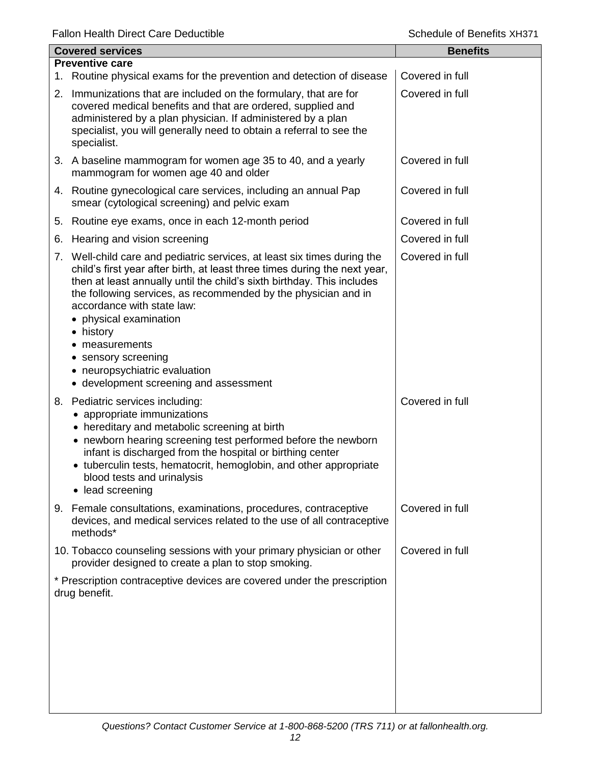| <b>Covered services</b> |                                                                                                                                                                                                                                                                                                                                                                                                                                                                                           | <b>Benefits</b> |
|-------------------------|-------------------------------------------------------------------------------------------------------------------------------------------------------------------------------------------------------------------------------------------------------------------------------------------------------------------------------------------------------------------------------------------------------------------------------------------------------------------------------------------|-----------------|
|                         | <b>Preventive care</b>                                                                                                                                                                                                                                                                                                                                                                                                                                                                    |                 |
|                         | 1. Routine physical exams for the prevention and detection of disease                                                                                                                                                                                                                                                                                                                                                                                                                     | Covered in full |
|                         | 2. Immunizations that are included on the formulary, that are for<br>covered medical benefits and that are ordered, supplied and<br>administered by a plan physician. If administered by a plan<br>specialist, you will generally need to obtain a referral to see the<br>specialist.                                                                                                                                                                                                     | Covered in full |
|                         | 3. A baseline mammogram for women age 35 to 40, and a yearly<br>mammogram for women age 40 and older                                                                                                                                                                                                                                                                                                                                                                                      | Covered in full |
|                         | 4. Routine gynecological care services, including an annual Pap<br>smear (cytological screening) and pelvic exam                                                                                                                                                                                                                                                                                                                                                                          | Covered in full |
| 5.                      | Routine eye exams, once in each 12-month period                                                                                                                                                                                                                                                                                                                                                                                                                                           | Covered in full |
| 6.                      | Hearing and vision screening                                                                                                                                                                                                                                                                                                                                                                                                                                                              | Covered in full |
|                         | 7. Well-child care and pediatric services, at least six times during the<br>child's first year after birth, at least three times during the next year,<br>then at least annually until the child's sixth birthday. This includes<br>the following services, as recommended by the physician and in<br>accordance with state law:<br>• physical examination<br>• history<br>measurements<br>• sensory screening<br>• neuropsychiatric evaluation<br>• development screening and assessment | Covered in full |
|                         | 8. Pediatric services including:<br>• appropriate immunizations<br>• hereditary and metabolic screening at birth<br>• newborn hearing screening test performed before the newborn<br>infant is discharged from the hospital or birthing center<br>• tuberculin tests, hematocrit, hemoglobin, and other appropriate<br>blood tests and urinalysis<br>lead screening                                                                                                                       | Covered in full |
| 9.                      | Female consultations, examinations, procedures, contraceptive<br>devices, and medical services related to the use of all contraceptive<br>methods*                                                                                                                                                                                                                                                                                                                                        | Covered in full |
|                         | 10. Tobacco counseling sessions with your primary physician or other<br>provider designed to create a plan to stop smoking.                                                                                                                                                                                                                                                                                                                                                               | Covered in full |
|                         | * Prescription contraceptive devices are covered under the prescription<br>drug benefit.                                                                                                                                                                                                                                                                                                                                                                                                  |                 |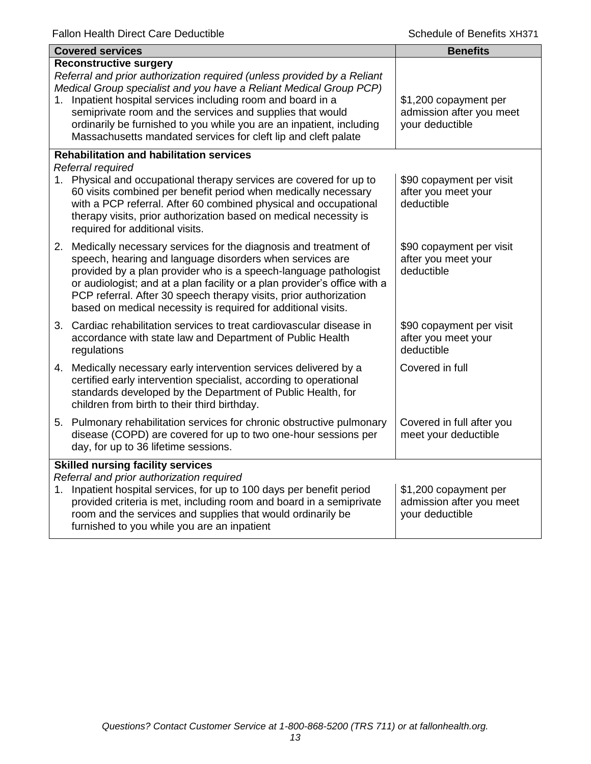| <b>Covered services</b>                                                                                                                                                                                                                                                                                                                                                                                                                                  | <b>Benefits</b>                                                      |
|----------------------------------------------------------------------------------------------------------------------------------------------------------------------------------------------------------------------------------------------------------------------------------------------------------------------------------------------------------------------------------------------------------------------------------------------------------|----------------------------------------------------------------------|
| <b>Reconstructive surgery</b><br>Referral and prior authorization required (unless provided by a Reliant<br>Medical Group specialist and you have a Reliant Medical Group PCP)<br>Inpatient hospital services including room and board in a<br>1.<br>semiprivate room and the services and supplies that would<br>ordinarily be furnished to you while you are an inpatient, including<br>Massachusetts mandated services for cleft lip and cleft palate | \$1,200 copayment per<br>admission after you meet<br>your deductible |
| <b>Rehabilitation and habilitation services</b><br>Referral required<br>1. Physical and occupational therapy services are covered for up to<br>60 visits combined per benefit period when medically necessary<br>with a PCP referral. After 60 combined physical and occupational<br>therapy visits, prior authorization based on medical necessity is<br>required for additional visits.                                                                | \$90 copayment per visit<br>after you meet your<br>deductible        |
| 2. Medically necessary services for the diagnosis and treatment of<br>speech, hearing and language disorders when services are<br>provided by a plan provider who is a speech-language pathologist<br>or audiologist; and at a plan facility or a plan provider's office with a<br>PCP referral. After 30 speech therapy visits, prior authorization<br>based on medical necessity is required for additional visits.                                    | \$90 copayment per visit<br>after you meet your<br>deductible        |
| 3. Cardiac rehabilitation services to treat cardiovascular disease in<br>accordance with state law and Department of Public Health<br>regulations                                                                                                                                                                                                                                                                                                        | \$90 copayment per visit<br>after you meet your<br>deductible        |
| 4. Medically necessary early intervention services delivered by a<br>certified early intervention specialist, according to operational<br>standards developed by the Department of Public Health, for<br>children from birth to their third birthday.                                                                                                                                                                                                    | Covered in full                                                      |
| 5. Pulmonary rehabilitation services for chronic obstructive pulmonary<br>disease (COPD) are covered for up to two one-hour sessions per<br>day, for up to 36 lifetime sessions.                                                                                                                                                                                                                                                                         | Covered in full after you<br>meet your deductible                    |
| <b>Skilled nursing facility services</b><br>Referral and prior authorization required<br>1. Inpatient hospital services, for up to 100 days per benefit period<br>provided criteria is met, including room and board in a semiprivate<br>room and the services and supplies that would ordinarily be<br>furnished to you while you are an inpatient                                                                                                      | \$1,200 copayment per<br>admission after you meet<br>your deductible |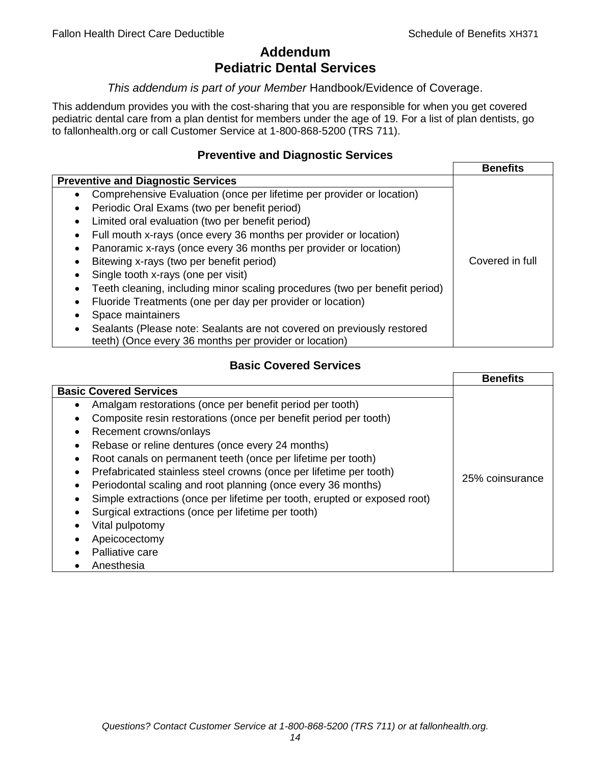# **Addendum Pediatric Dental Services**

# *This addendum is part of your Member* Handbook/Evidence of Coverage.

This addendum provides you with the cost-sharing that you are responsible for when you get covered pediatric dental care from a plan dentist for members under the age of 19. For a list of plan dentists, go to fallonhealth.org or call Customer Service at 1-800-868-5200 (TRS 711).

# **Preventive and Diagnostic Services**

|                                                                             | <b>Benefits</b> |
|-----------------------------------------------------------------------------|-----------------|
| <b>Preventive and Diagnostic Services</b>                                   |                 |
| Comprehensive Evaluation (once per lifetime per provider or location)<br>٠  |                 |
| Periodic Oral Exams (two per benefit period)<br>$\bullet$                   |                 |
| Limited oral evaluation (two per benefit period)<br>$\bullet$               |                 |
| Full mouth x-rays (once every 36 months per provider or location)           |                 |
| Panoramic x-rays (once every 36 months per provider or location)            |                 |
| Bitewing x-rays (two per benefit period)<br>$\bullet$                       | Covered in full |
| Single tooth x-rays (one per visit)                                         |                 |
| Teeth cleaning, including minor scaling procedures (two per benefit period) |                 |
| Fluoride Treatments (one per day per provider or location)                  |                 |
| Space maintainers                                                           |                 |
| Sealants (Please note: Sealants are not covered on previously restored      |                 |
| teeth) (Once every 36 months per provider or location)                      |                 |

# **Basic Covered Services**

|                                                                                                                                                                                                                                                                                                                                            | <b>Benefits</b> |
|--------------------------------------------------------------------------------------------------------------------------------------------------------------------------------------------------------------------------------------------------------------------------------------------------------------------------------------------|-----------------|
| <b>Basic Covered Services</b><br>Amalgam restorations (once per benefit period per tooth)<br>Composite resin restorations (once per benefit period per tooth)<br>Recement crowns/onlays<br>Rebase or reline dentures (once every 24 months)<br>Root canals on permanent teeth (once per lifetime per tooth)                                |                 |
| Prefabricated stainless steel crowns (once per lifetime per tooth)<br>Periodontal scaling and root planning (once every 36 months)<br>Simple extractions (once per lifetime per tooth, erupted or exposed root)<br>Surgical extractions (once per lifetime per tooth)<br>Vital pulpotomy<br>Apeicocectomy<br>Palliative care<br>Anesthesia | 25% coinsurance |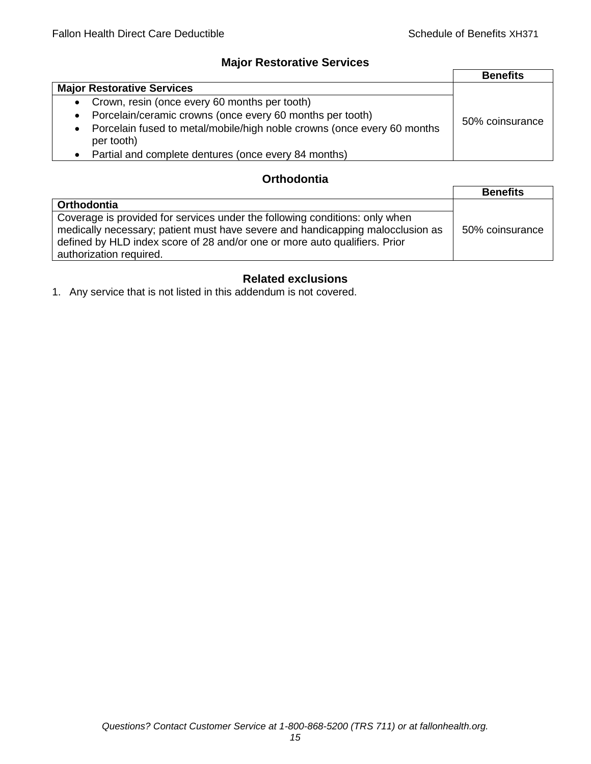# **Major Restorative Services**

|                                                                                       | <b>Benefits</b> |
|---------------------------------------------------------------------------------------|-----------------|
| <b>Major Restorative Services</b>                                                     |                 |
| Crown, resin (once every 60 months per tooth)<br>$\bullet$                            |                 |
| Porcelain/ceramic crowns (once every 60 months per tooth)                             | 50% coinsurance |
| Porcelain fused to metal/mobile/high noble crowns (once every 60 months<br>per tooth) |                 |
| Partial and complete dentures (once every 84 months)                                  |                 |

# **Orthodontia**

|                                                                                                                                                                                                                                                                        | <b>Benefits</b> |
|------------------------------------------------------------------------------------------------------------------------------------------------------------------------------------------------------------------------------------------------------------------------|-----------------|
| <b>Orthodontia</b>                                                                                                                                                                                                                                                     |                 |
| Coverage is provided for services under the following conditions: only when<br>medically necessary; patient must have severe and handicapping malocclusion as<br>defined by HLD index score of 28 and/or one or more auto qualifiers. Prior<br>authorization required. | 50% coinsurance |

# **Related exclusions**

1. Any service that is not listed in this addendum is not covered.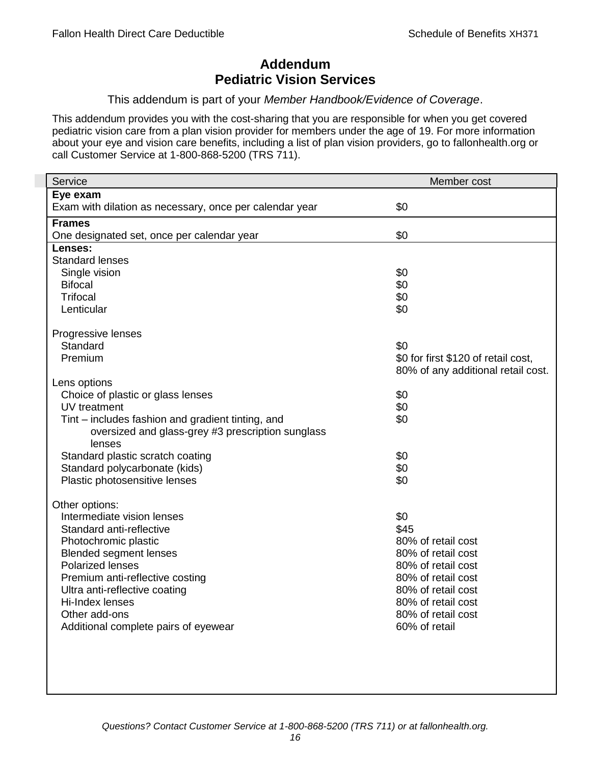# **Addendum Pediatric Vision Services**

# This addendum is part of your *Member Handbook/Evidence of Coverage*.

This addendum provides you with the cost-sharing that you are responsible for when you get covered pediatric vision care from a plan vision provider for members under the age of 19. For more information about your eye and vision care benefits, including a list of plan vision providers, go to fallonhealth.org or call Customer Service at 1-800-868-5200 (TRS 711).

| Service                                                 | Member cost                         |
|---------------------------------------------------------|-------------------------------------|
| Eye exam                                                |                                     |
| Exam with dilation as necessary, once per calendar year | \$0                                 |
| <b>Frames</b>                                           |                                     |
| One designated set, once per calendar year              | \$0                                 |
| Lenses:                                                 |                                     |
| <b>Standard lenses</b>                                  |                                     |
| Single vision                                           | \$0                                 |
| <b>Bifocal</b>                                          | \$0                                 |
| <b>Trifocal</b>                                         | \$0                                 |
| Lenticular                                              | \$0                                 |
| Progressive lenses                                      |                                     |
| Standard                                                | \$0                                 |
| Premium                                                 | \$0 for first \$120 of retail cost, |
|                                                         | 80% of any additional retail cost.  |
| Lens options                                            |                                     |
| Choice of plastic or glass lenses                       | \$0                                 |
| UV treatment                                            | \$0                                 |
| Tint – includes fashion and gradient tinting, and       | \$0                                 |
| oversized and glass-grey #3 prescription sunglass       |                                     |
| lenses                                                  |                                     |
| Standard plastic scratch coating                        | \$0                                 |
| Standard polycarbonate (kids)                           | \$0                                 |
| Plastic photosensitive lenses                           | \$0                                 |
| Other options:                                          |                                     |
| Intermediate vision lenses                              | \$0                                 |
| Standard anti-reflective                                | \$45                                |
| Photochromic plastic                                    | 80% of retail cost                  |
| <b>Blended segment lenses</b>                           | 80% of retail cost                  |
| <b>Polarized lenses</b>                                 | 80% of retail cost                  |
| Premium anti-reflective costing                         | 80% of retail cost                  |
| Ultra anti-reflective coating                           | 80% of retail cost                  |
| Hi-Index lenses                                         | 80% of retail cost                  |
| Other add-ons                                           | 80% of retail cost                  |
| Additional complete pairs of eyewear                    | 60% of retail                       |
|                                                         |                                     |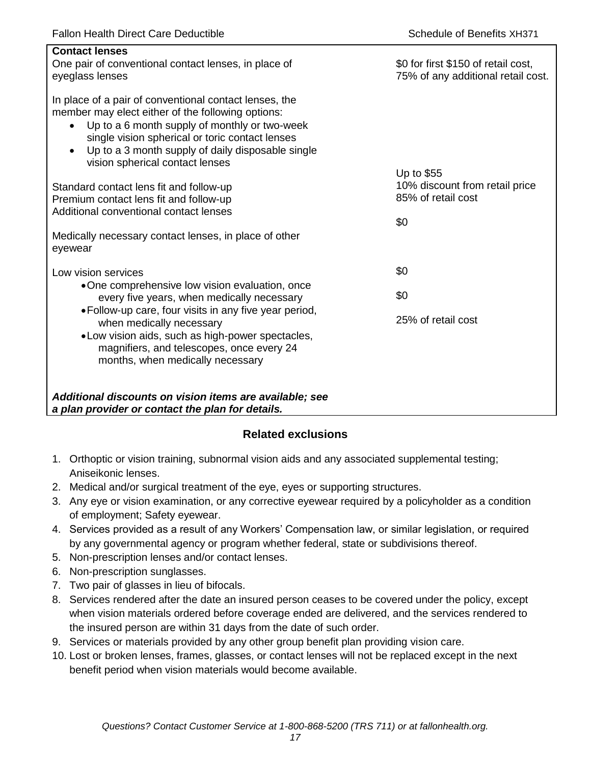| <b>Contact lenses</b><br>One pair of conventional contact lenses, in place of<br>eyeglass lenses                                                                                                                                                                                                                                  | \$0 for first \$150 of retail cost,<br>75% of any additional retail cost. |
|-----------------------------------------------------------------------------------------------------------------------------------------------------------------------------------------------------------------------------------------------------------------------------------------------------------------------------------|---------------------------------------------------------------------------|
| In place of a pair of conventional contact lenses, the<br>member may elect either of the following options:<br>Up to a 6 month supply of monthly or two-week<br>$\bullet$<br>single vision spherical or toric contact lenses<br>Up to a 3 month supply of daily disposable single<br>$\bullet$<br>vision spherical contact lenses |                                                                           |
| Standard contact lens fit and follow-up<br>Premium contact lens fit and follow-up<br>Additional conventional contact lenses                                                                                                                                                                                                       | Up to \$55<br>10% discount from retail price<br>85% of retail cost<br>\$0 |
| Medically necessary contact lenses, in place of other<br>eyewear                                                                                                                                                                                                                                                                  |                                                                           |
| Low vision services                                                                                                                                                                                                                                                                                                               | \$0                                                                       |
| •One comprehensive low vision evaluation, once<br>every five years, when medically necessary                                                                                                                                                                                                                                      | \$0                                                                       |
| • Follow-up care, four visits in any five year period,<br>when medically necessary<br>• Low vision aids, such as high-power spectacles,<br>magnifiers, and telescopes, once every 24<br>months, when medically necessary                                                                                                          | 25% of retail cost                                                        |
| Additional discounts on vision items are available; see<br>a plan provider or contact the plan for details.                                                                                                                                                                                                                       |                                                                           |

# **Related exclusions**

- 1. Orthoptic or vision training, subnormal vision aids and any associated supplemental testing; Aniseikonic lenses.
- 2. Medical and/or surgical treatment of the eye, eyes or supporting structures.
- 3. Any eye or vision examination, or any corrective eyewear required by a policyholder as a condition of employment; Safety eyewear.
- 4. Services provided as a result of any Workers' Compensation law, or similar legislation, or required by any governmental agency or program whether federal, state or subdivisions thereof.
- 5. Non-prescription lenses and/or contact lenses.
- 6. Non-prescription sunglasses.
- 7. Two pair of glasses in lieu of bifocals.
- 8. Services rendered after the date an insured person ceases to be covered under the policy, except when vision materials ordered before coverage ended are delivered, and the services rendered to the insured person are within 31 days from the date of such order.
- 9. Services or materials provided by any other group benefit plan providing vision care.
- 10. Lost or broken lenses, frames, glasses, or contact lenses will not be replaced except in the next benefit period when vision materials would become available.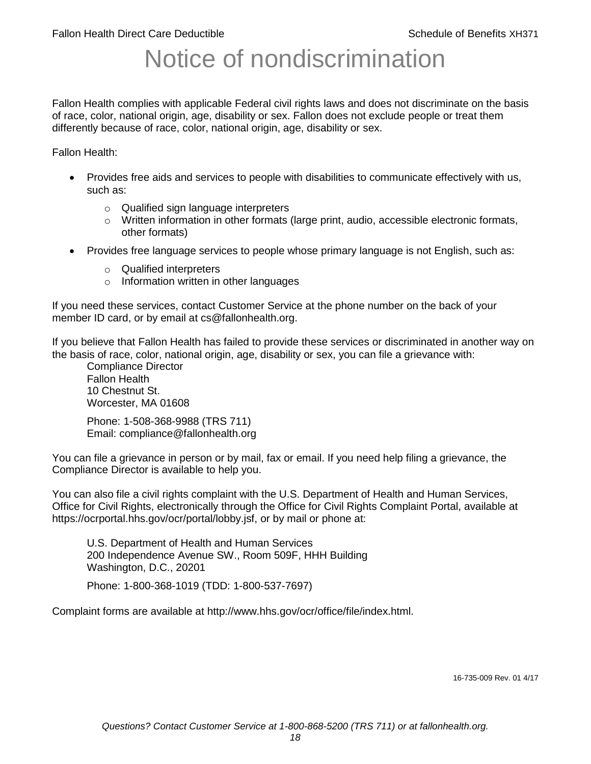# Notice of nondiscrimination

Fallon Health complies with applicable Federal civil rights laws and does not discriminate on the basis of race, color, national origin, age, disability or sex. Fallon does not exclude people or treat them differently because of race, color, national origin, age, disability or sex.

Fallon Health:

- Provides free aids and services to people with disabilities to communicate effectively with us, such as:
	- o Qualified sign language interpreters
	- $\circ$  Written information in other formats (large print, audio, accessible electronic formats, other formats)
- Provides free language services to people whose primary language is not English, such as:
	- o Qualified interpreters
	- o Information written in other languages

If you need these services, contact Customer Service at the phone number on the back of your member ID card, or by email at cs@fallonhealth.org.

If you believe that Fallon Health has failed to provide these services or discriminated in another way on the basis of race, color, national origin, age, disability or sex, you can file a grievance with:

Compliance Director Fallon Health 10 Chestnut St. Worcester, MA 01608

Phone: 1-508-368-9988 (TRS 711) Email: compliance@fallonhealth.org

You can file a grievance in person or by mail, fax or email. If you need help filing a grievance, the Compliance Director is available to help you.

You can also file a civil rights complaint with the U.S. Department of Health and Human Services, Office for Civil Rights, electronically through the Office for Civil Rights Complaint Portal, available at https://ocrportal.hhs.gov/ocr/portal/lobby.jsf, or by mail or phone at:

U.S. Department of Health and Human Services 200 Independence Avenue SW., Room 509F, HHH Building Washington, D.C., 20201

Phone: 1-800-368-1019 (TDD: 1-800-537-7697)

Complaint forms are available at http://www.hhs.gov/ocr/office/file/index.html.

16-735-009 Rev. 01 4/17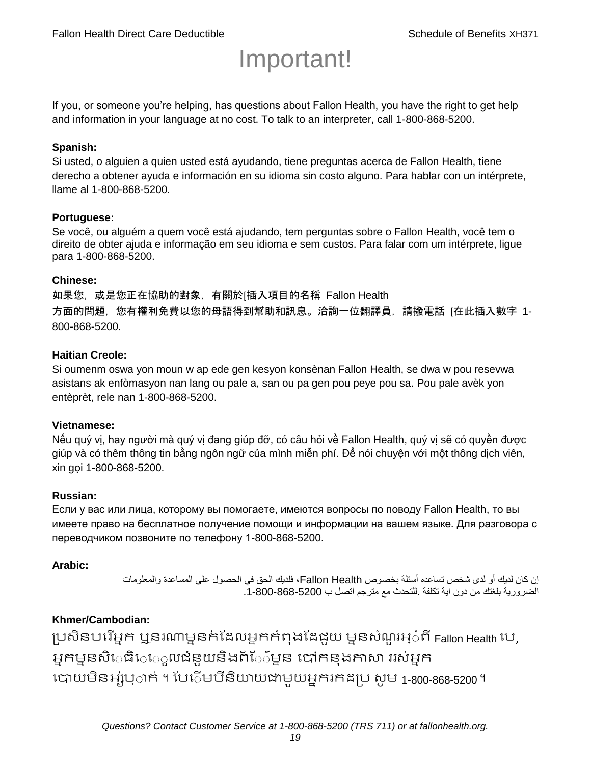# Important!

If you, or someone you're helping, has questions about Fallon Health, you have the right to get help and information in your language at no cost. To talk to an interpreter, call 1-800-868-5200.

#### **Spanish:**

Si usted, o alguien a quien usted está ayudando, tiene preguntas acerca de Fallon Health, tiene derecho a obtener ayuda e información en su idioma sin costo alguno. Para hablar con un intérprete, llame al 1-800-868-5200.

#### **Portuguese:**

Se você, ou alguém a quem você está ajudando, tem perguntas sobre o Fallon Health, você tem o direito de obter ajuda e informação em seu idioma e sem custos. Para falar com um intérprete, ligue para 1-800-868-5200.

#### **Chinese:**

如果您,或是您正在協助的對象,有關於[插入項目的名稱 Fallon Health 方面的問題, 您有權利免費以您的母語得到幫助和訊息。洽詢一位翻譯員, 請撥電話 [在此插入數字 1-800-868-5200.

#### **Haitian Creole:**

Si oumenm oswa yon moun w ap ede gen kesyon konsènan Fallon Health, se dwa w pou resevwa asistans ak enfòmasyon nan lang ou pale a, san ou pa gen pou peye pou sa. Pou pale avèk yon entèprèt, rele nan 1-800-868-5200.

#### **Vietnamese:**

Nếu quý vị, hay người mà quý vị đang giúp đỡ, có câu hỏi về Fallon Health, quý vị sẽ có quyền được giúp và có thêm thông tin bằng ngôn ngữ của mình miễn phí. Để nói chuyện với một thông dịch viên, xin gọi 1-800-868-5200.

#### **Russian:**

Если у вас или лица, которому вы помогаете, имеются вопросы по поводу Fallon Health, то вы имеете право на бесплатное получение помощи и информации на вашем языке. Для разговора с переводчиком позвоните по телефону 1-800-868-5200.

#### **Arabic:**

إن كان لديك أو لدى شخص تساعده أسئلة بخصوص Health Fallon، فلديك الحق في الحصول على المساعدة والمعلومات الضرورية بلغتك من دون اية تكلفة .للتحدث مع مترجم اتصل ب .1-800-868-5200

#### **Khmer/Cambodian:**

ប្រសិនបរើអ្នក ឬនរណាម្ននក់ដែលអ្នកកំពុងដែជយ ម្ននសំណួរអ្៎ពី Fallon Health រប, អ្នកម្ននសិេធិេ្រុលជំនួយនិងព័ែ៌ម្នន បៅកនុងភាសា ររស់អ្នក រោយម្ិនអ្ស់រ្ំ ក់ ។ ដររំម្ រនី ិយាយជាម្ួយអ្នក កែប្រ សូ ម្ 1-800-868-5200 ។